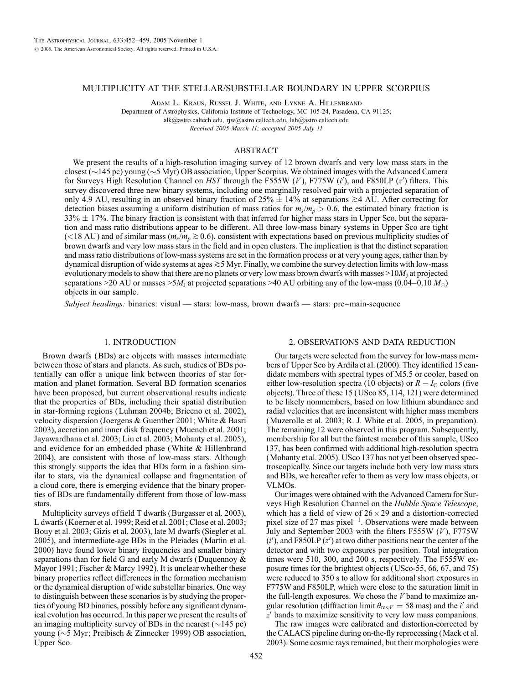### MULTIPLICITY AT THE STELLAR/SUBSTELLAR BOUNDARY IN UPPER SCORPIUS

Adam L. Kraus, Russel J. White, and Lynne A. Hillenbrand Department of Astrophysics, California Institute of Technology, MC 105-24, Pasadena, CA 91125; alk@astro.caltech.edu, rjw@astro.caltech.edu, lah@astro.caltech.edu Received 2005 March 11; accepted 2005 July 11

#### ABSTRACT

We present the results of a high-resolution imaging survey of 12 brown dwarfs and very low mass stars in the closest ( $\sim$ 145 pc) young ( $\sim$ 5 Myr) OB association, Upper Scorpius. We obtained images with the Advanced Camera for Surveys High Resolution Channel on HST through the F555W  $(V)$ , F775W  $(i')$ , and F850LP  $(z')$  filters. This survey discovered three new binary systems, including one marginally resolved pair with a projected separation of only 4.9 AU, resulting in an observed binary fraction of  $25\% \pm 14\%$  at separations  $\geq 4$  AU. After correcting for detection biases assuming a uniform distribution of mass ratios for  $m_s/m_p > 0.6$ , the estimated binary fraction is  $33\% \pm 17\%$ . The binary fraction is consistent with that inferred for higher mass stars in Upper Sco, but the separation and mass ratio distributions appear to be different. All three low-mass binary systems in Upper Sco are tight (<18 AU) and of similar mass ( $m_s/m_p \gtrsim 0.6$ ), consistent with expectations based on previous multiplicity studies of brown dwarfs and very low mass stars in the field and in open clusters. The implication is that the distinct separation and mass ratio distributions of low-mass systems are set in the formation process or at very young ages, rather than by dynamical disruption of wide systems at ages  $\gtrsim$  5 Myr. Finally, we combine the survey detection limits with low-mass evolutionary models to show that there are no planets or very low mass brown dwarfs with masses  $>10M<sub>I</sub>$  at projected separations >20 AU or masses >5 $M_J$  at projected separations >40 AU orbiting any of the low-mass (0.04–0.10  $M_{\odot}$ ) objects in our sample.

Subject headings: binaries: visual — stars: low-mass, brown dwarfs — stars: pre–main-sequence

# 1. INTRODUCTION

Brown dwarfs (BDs) are objects with masses intermediate between those of stars and planets. As such, studies of BDs potentially can offer a unique link between theories of star formation and planet formation. Several BD formation scenarios have been proposed, but current observational results indicate that the properties of BDs, including their spatial distribution in star-forming regions (Luhman 2004b; Briceno et al. 2002), velocity dispersion (Joergens & Guenther 2001; White & Basri 2003), accretion and inner disk frequency (Muench et al. 2001; Jayawardhana et al. 2003; Liu et al. 2003; Mohanty et al. 2005), and evidence for an embedded phase (White & Hillenbrand 2004), are consistent with those of low-mass stars. Although this strongly supports the idea that BDs form in a fashion similar to stars, via the dynamical collapse and fragmentation of a cloud core, there is emerging evidence that the binary properties of BDs are fundamentally different from those of low-mass stars.

Multiplicity surveys of field T dwarfs (Burgasser et al. 2003), L dwarfs (Koerner et al. 1999; Reid et al. 2001; Close et al. 2003; Bouy et al. 2003; Gizis et al. 2003), late M dwarfs (Siegler et al. 2005), and intermediate-age BDs in the Pleiades (Martin et al. 2000) have found lower binary frequencies and smaller binary separations than for field G and early M dwarfs (Duquennoy & Mayor 1991; Fischer & Marcy 1992). It is unclear whether these binary properties reflect differences in the formation mechanism or the dynamical disruption of wide substellar binaries. One way to distinguish between these scenarios is by studying the properties of young BD binaries, possibly before any significant dynamical evolution has occurred. In this paper we present the results of an imaging multiplicity survey of BDs in the nearest  $(\sim 145 \text{ pc})$ young ( $\sim$ 5 Myr; Preibisch & Zinnecker 1999) OB association, Upper Sco.

#### 2. OBSERVATIONS AND DATA REDUCTION

Our targets were selected from the survey for low-mass members of Upper Sco by Ardila et al. (2000). They identified 15 candidate members with spectral types of M5.5 or cooler, based on either low-resolution spectra (10 objects) or  $R - I_C$  colors (five objects). Three of these 15 (USco 85, 114, 121) were determined to be likely nonmembers, based on low lithium abundance and radial velocities that are inconsistent with higher mass members (Muzerolle et al. 2003; R. J. White et al. 2005, in preparation). The remaining 12 were observed in this program. Subsequently, membership for all but the faintest member of this sample, USco 137, has been confirmed with additional high-resolution spectra (Mohanty et al. 2005). USco 137 has not yet been observed spectroscopically. Since our targets include both very low mass stars and BDs, we hereafter refer to them as very low mass objects, or VLMOs.

Our images were obtained with the Advanced Camera for Surveys High Resolution Channel on the Hubble Space Telescope, which has a field of view of  $26 \times 29$  and a distortion-corrected pixel size of 27 mas pixel<sup> $-1$ </sup>. Observations were made between July and September 2003 with the filters F555W  $(V)$ , F775W  $(i')$ , and F850LP  $(z')$  at two dither positions near the center of the detector and with two exposures per position. Total integration times were 510, 300, and 200 s, respectively. The F555W exposure times for the brightest objects (USco-55, 66, 67, and 75) were reduced to 350 s to allow for additional short exposures in F775W and F850LP, which were close to the saturation limit in the full-length exposures. We chose the V band to maximize angular resolution (diffraction limit  $\theta_{\text{res},V} = 58 \text{ mas}$ ) and the *i'* and  $z'$  bands to maximize sensitivity to very low mass companions.

The raw images were calibrated and distortion-corrected by the CALACS pipeline during on-the-fly reprocessing (Mack et al. 2003). Some cosmic rays remained, but their morphologies were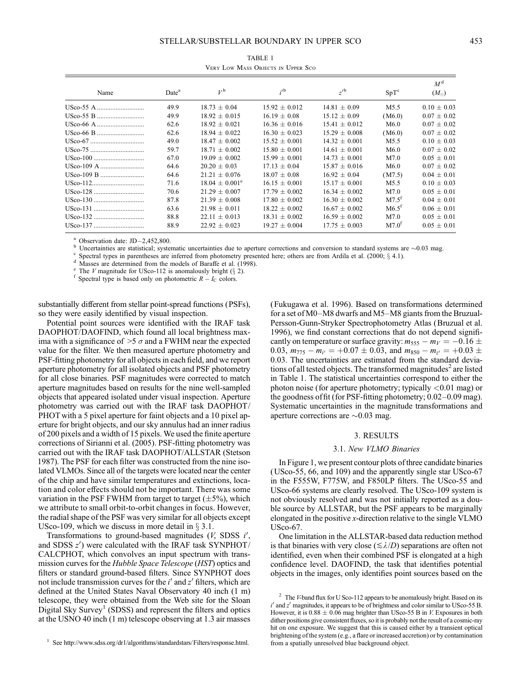#### STELLAR/SUBSTELLAR BOUNDARY IN UPPER SCO

| I<br>×<br>v | ٦<br>×<br>۰. |
|-------------|--------------|

| Name       | Date <sup>a</sup> | $V^{\rm b}$               | i <sup>b</sup>    | z <sup>b</sup>    | $SpT^c$           | $M^{\rm d}$<br>$(M_{\odot})$ |
|------------|-------------------|---------------------------|-------------------|-------------------|-------------------|------------------------------|
| USco-55 A  | 49.9              | $18.73 + 0.04$            | $15.92 + 0.012$   | $14.81 \pm 0.09$  | M <sub>5.5</sub>  | $0.10 \pm 0.03$              |
| USco-55 B  | 49.9              | $18.92 \pm 0.015$         | $16.19 \pm 0.08$  | $15.12 \pm 0.09$  | (M6.0)            | $0.07 \pm 0.02$              |
| USco-66 A  | 62.6              | $18.92 \pm 0.021$         | $16.36 \pm 0.016$ | $15.41 \pm 0.012$ | M6.0              | $0.07 \pm 0.02$              |
| USco-66 B  | 62.6              | $18.94 \pm 0.022$         | $16.30 \pm 0.023$ | $15.29 \pm 0.008$ | (M6.0)            | $0.07 \pm 0.02$              |
| USco-67    | 49.0              | $18.47 + 0.002$           | $15.52 + 0.001$   | $14.32 \pm 0.001$ | M <sub>5.5</sub>  | $0.10 \pm 0.03$              |
| USco-75    | 59.7              | $18.71 \pm 0.002$         | $15.80 + 0.001$   | $14.61 \pm 0.001$ | M6.0              | $0.07 \pm 0.02$              |
| USco-100   | 67.0              | $19.09 \pm 0.002$         | $15.99 \pm 0.001$ | $14.73 \pm 0.001$ | M7.0              | $0.05 \pm 0.01$              |
| USco-109 A | 64.6              | $20.20 + 0.03$            | $17.13 + 0.04$    | $15.87 \pm 0.016$ | M6.0              | $0.07 \pm 0.02$              |
| USco-109 B | 64.6              | $21.21 \pm 0.076$         | $18.07 + 0.08$    | $16.92 \pm 0.04$  | (M7.5)            | $0.04 \pm 0.01$              |
| USco-112   | 71.6              | $18.04 \pm 0.001^{\circ}$ | $16.15 \pm 0.001$ | $15.17 \pm 0.001$ | M <sub>5.5</sub>  | $0.10 \pm 0.03$              |
| USco-128   | 70.6              | $21.29 \pm 0.007$         | $17.79 \pm 0.002$ | $16.34 \pm 0.002$ | M7.0              | $0.05 \pm 0.01$              |
| USco-130   | 87.8              | $21.39 \pm 0.008$         | $17.80 + 0.002$   | $16.30 + 0.002$   | $M7.5^{\text{t}}$ | $0.04 + 0.01$                |
| USco-131   | 63.6              | $21.98 \pm 0.011$         | $18.22 + 0.002$   | $16.67 + 0.002$   | M6.5 <sup>t</sup> | $0.06 + 0.01$                |
| USco-132   | 88.8              | $22.11 \pm 0.013$         | $18.31 \pm 0.002$ | $16.59 \pm 0.002$ | M7.0              | $0.05 \pm 0.01$              |
| USco-137   | 88.9              | $22.92 + 0.023$           | $19.27 + 0.004$   | $17.75 + 0.003$   | M7.0 <sup>t</sup> | $0.05 \pm 0.01$              |
|            |                   |                           |                   |                   |                   |                              |

TABLE 1 Very Low Mass Objects in Upper Sco

<sup>a</sup> Observation date: JD-2,452,800.<br><sup>b</sup> Uncertainties are statistical; systematic uncertainties due to aperture corrections and conversion to standard systems are  $\sim$ 0.03 mag.<br><sup>c</sup> Spectral types in parentheses are inferr

substantially different from stellar point-spread functions (PSFs), so they were easily identified by visual inspection.

Potential point sources were identified with the IRAF task DAOPHOT/DAOFIND, which found all local brightness maxima with a significance of  $>5 \sigma$  and a FWHM near the expected value for the filter. We then measured aperture photometry and PSF-fitting photometry for all objects in each field, and we report aperture photometry for all isolated objects and PSF photometry for all close binaries. PSF magnitudes were corrected to match aperture magnitudes based on results for the nine well-sampled objects that appeared isolated under visual inspection. Aperture photometry was carried out with the IRAF task DAOPHOT/ PHOT with a 5 pixel aperture for faint objects and a 10 pixel aperture for bright objects, and our sky annulus had an inner radius of 200 pixels and a width of 15 pixels. We used the finite aperture corrections of Sirianni et al. (2005). PSF-fitting photometry was carried out with the IRAF task DAOPHOT/ALLSTAR (Stetson 1987). The PSF for each filter was constructed from the nine isolated VLMOs. Since all of the targets were located near the center of the chip and have similar temperatures and extinctions, location and color effects should not be important. There was some variation in the PSF FWHM from target to target  $(\pm 5\%)$ , which we attribute to small orbit-to-orbit changes in focus. However, the radial shape of the PSF was very similar for all objects except USco-109, which we discuss in more detail in  $\S 3.1$ .

Transformations to ground-based magnitudes  $(V, SDSS\ i',$ and SDSS  $z'$ ) were calculated with the IRAF task SYNPHOT/ CALCPHOT, which convolves an input spectrum with transmission curves for the Hubble Space Telescope (HST) optics and filters or standard ground-based filters. Since SYNPHOT does not include transmission curves for the  $i'$  and  $z'$  filters, which are defined at the United States Naval Observatory 40 inch (1 m) telescope, they were obtained from the Web site for the Sloan Digital Sky Survey<sup>1</sup> (SDSS) and represent the filters and optics at the USNO 40 inch (1 m) telescope observing at 1.3 air masses

<sup>1</sup> See http://www.sdss.org/dr1/algorithms/standardstars/Filters/response.html.

(Fukugawa et al. 1996). Based on transformations determined for a set of M0–M8 dwarfs and M5–M8 giants from the Bruzual-Persson-Gunn-Stryker Spectrophotometry Atlas (Bruzual et al. 1996), we find constant corrections that do not depend significantly on temperature or surface gravity:  $m_{555} - m_V = -0.16 \pm 100$ 0.03,  $m_{775} - m_{i'} = +0.07 \pm 0.03$ , and  $m_{850} - m_{z'} = +0.03 \pm 0.03$ 0:03. The uncertainties are estimated from the standard deviations of all tested objects. The transformed magnitudes<sup>2</sup> are listed in Table 1. The statistical uncertainties correspond to either the photon noise (for aperture photometry; typically  $\langle 0.01 \text{ mag} \rangle$  or the goodness of fit (for PSF-fitting photometry; 0.02–0.09 mag). Systematic uncertainties in the magnitude transformations and aperture corrections are  $\sim 0.03$  mag.

### 3. RESULTS

### 3.1. New VLMO Binaries

In Figure 1, we present contour plots of three candidate binaries (USco-55, 66, and 109) and the apparently single star USco-67 in the F555W, F775W, and F850LP filters. The USco-55 and USco-66 systems are clearly resolved. The USco-109 system is not obviously resolved and was not initially reported as a double source by ALLSTAR, but the PSF appears to be marginally elongated in the positive x-direction relative to the single VLMO USco-67.

One limitation in the ALLSTAR-based data reduction method is that binaries with very close  $(\leq \lambda/D)$  separations are often not identified, even when their combined PSF is elongated at a high confidence level. DAOFIND, the task that identifies potential objects in the images, only identifies point sources based on the

<sup>&</sup>lt;sup>2</sup> The *V*-band flux for U Sco-112 appears to be anomalously bright. Based on its  $i'$  and  $z'$  magnitudes, it appears to be of brightness and color similar to USco-55 B. However, it is  $0.88 \pm 0.06$  mag brighter than USco-55 B in *V*. Exposures in both dither positions give consistent fluxes, so it is probably not the result of a cosmic-ray hit on one exposure. We suggest that this is caused either by a transient optical brightening of the system (e.g., a flare or increased accretion) or by contamination from a spatially unresolved blue background object.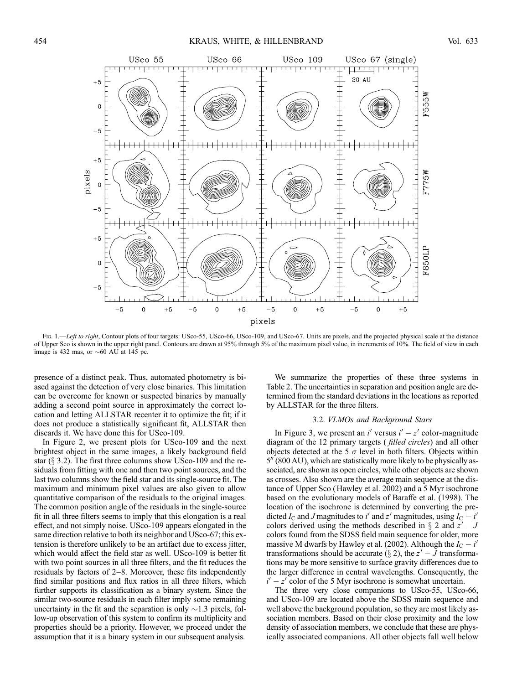

Fig. 1.—Left to right, Contour plots of four targets: USco-55, USco-66, USco-109, and USco-67. Units are pixels, and the projected physical scale at the distance of Upper Sco is shown in the upper right panel. Contours are drawn at 95% through 5% of the maximum pixel value, in increments of 10%. The field of view in each image is 432 mas, or  $\sim$  60 AU at 145 pc.

presence of a distinct peak. Thus, automated photometry is biased against the detection of very close binaries. This limitation can be overcome for known or suspected binaries by manually adding a second point source in approximately the correct location and letting ALLSTAR recenter it to optimize the fit; if it does not produce a statistically significant fit, ALLSTAR then discards it. We have done this for USco-109.

In Figure 2, we present plots for USco-109 and the next brightest object in the same images, a likely background field star  $(\S$  3.2). The first three columns show USco-109 and the residuals from fitting with one and then two point sources, and the last two columns show the field star and its single-source fit. The maximum and minimum pixel values are also given to allow quantitative comparison of the residuals to the original images. The common position angle of the residuals in the single-source fit in all three filters seems to imply that this elongation is a real effect, and not simply noise. USco-109 appears elongated in the same direction relative to both its neighbor and USco-67; this extension is therefore unlikely to be an artifact due to excess jitter, which would affect the field star as well. USco-109 is better fit with two point sources in all three filters, and the fit reduces the residuals by factors of 2–8. Moreover, these fits independently find similar positions and flux ratios in all three filters, which further supports its classification as a binary system. Since the similar two-source residuals in each filter imply some remaining uncertainty in the fit and the separation is only  $\sim$ 1.3 pixels, follow-up observation of this system to confirm its multiplicity and properties should be a priority. However, we proceed under the assumption that it is a binary system in our subsequent analysis.

We summarize the properties of these three systems in Table 2. The uncertainties in separation and position angle are determined from the standard deviations in the locations as reported by ALLSTAR for the three filters.

## 3.2. VLMOs and Background Stars

In Figure 3, we present an i' versus  $i' - z'$  color-magnitude diagram of the 12 primary targets ( filled circles) and all other objects detected at the 5  $\sigma$  level in both filters. Objects within  $5\%$  (800 AU), which are statistically more likely to be physically associated, are shown as open circles, while other objects are shown as crosses. Also shown are the average main sequence at the distance of Upper Sco (Hawley et al. 2002) and a 5 Myr isochrone based on the evolutionary models of Baraffe et al. (1998). The location of the isochrone is determined by converting the predicted  $I_C$  and J magnitudes to i' and z' magnitudes, using  $I_C - i'$ colors derived using the methods described in  $\S 2$  and  $z'-J$ colors found from the SDSS field main sequence for older, more massive M dwarfs by Hawley et al. (2002). Although the  $I_C - i'$ transformations should be accurate ( $\S 2$ ), the  $z' - J$  transformations may be more sensitive to surface gravity differences due to the larger difference in central wavelengths. Consequently, the  $i' - z'$  color of the 5 Myr isochrone is somewhat uncertain.

The three very close companions to USco-55, USco-66, and USco-109 are located above the SDSS main sequence and well above the background population, so they are most likely association members. Based on their close proximity and the low density of association members, we conclude that these are physically associated companions. All other objects fall well below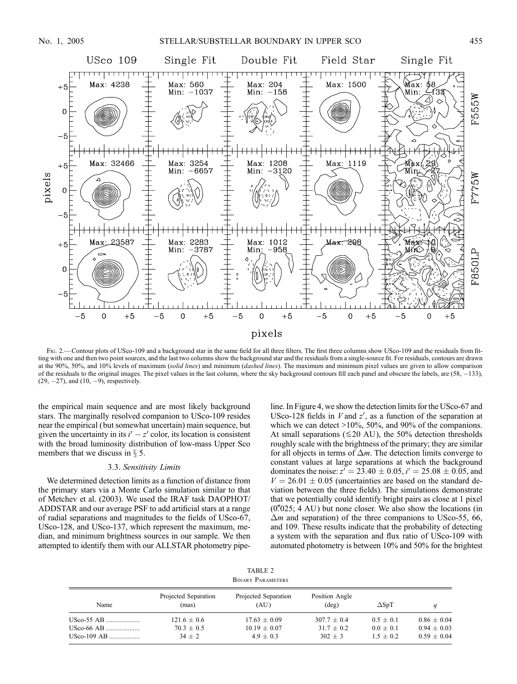

Fig. 2.—Contour plots of USco-109 and a background star in the same field for all three filters. The first three columns show USco-109 and the residuals from fitting with one and then two point sources, and the last two columns show the background star and the residuals from a single-source fit. For residuals, contours are drawn at the 90%, 50%, and 10% levels of maximum (solid lines) and minimum (dashed lines). The maximum and minimum pixel values are given to allow comparison of the residuals to the original images. The pixel values in the last column, where the sky background contours fill each panel and obscure the labels, are (58, 133),  $(29, -27)$ , and  $(10, -9)$ , respectively.

the empirical main sequence and are most likely background stars. The marginally resolved companion to USco-109 resides near the empirical ( but somewhat uncertain) main sequence, but given the uncertainty in its  $i' - z'$  color, its location is consistent with the broad luminosity distribution of low-mass Upper Sco members that we discuss in  $\S$  5.

### 3.3. Sensitivity Limits

We determined detection limits as a function of distance from the primary stars via a Monte Carlo simulation similar to that of Metchev et al. (2003). We used the IRAF task DAOPHOT/ ADDSTAR and our average PSF to add artificial stars at a range of radial separations and magnitudes to the fields of USco-67, USco-128, and USco-137, which represent the maximum, median, and minimum brightness sources in our sample. We then attempted to identify them with our ALLSTAR photometry pipeline. In Figure 4, we show the detection limits for the USco-67 and USco-128 fields in  $V$  and  $z'$ , as a function of the separation at which we can detect >10%, 50%, and 90% of the companions. At small separations ( $\leq 20$  AU), the 50% detection thresholds roughly scale with the brightness of the primary; they are similar for all objects in terms of  $\Delta m$ . The detection limits converge to constant values at large separations at which the background dominates the noise:  $z' = 23.40 \pm 0.05$ ,  $i' = 25.08 \pm 0.05$ , and  $V = 26.01 \pm 0.05$  (uncertainties are based on the standard deviation between the three fields). The simulations demonstrate that we potentially could identify bright pairs as close at 1 pixel  $(0\text{."}025; 4 \text{ AU})$  but none closer. We also show the locations (in  $\Delta m$  and separation) of the three companions to USco-55, 66, and 109. These results indicate that the probability of detecting a system with the separation and flux ratio of USco-109 with automated photometry is between 10% and 50% for the brightest

TABLE 2 Binary Parameters

| Name       | Projected Separation<br>(mas) | Projected Separation<br>(AU) | Position Angle<br>$(\text{deg})$ | $\Delta SpT$ |               |
|------------|-------------------------------|------------------------------|----------------------------------|--------------|---------------|
| USco-55 AB | $121.6 + 0.6$                 | $17.63 \pm 0.09$             | $307.7 + 0.4$                    | $0.5 + 0.1$  | $0.86 + 0.04$ |
| USco-66 AB | $70.3 + 0.5$                  | $10.19 + 0.07$               | $31.7 + 0.2$                     | $0.0 + 0.1$  | $0.94 + 0.03$ |
|            | $34 + 2$                      | $4.9 + 0.3$                  | $302 + 3$                        | $1.5 + 0.2$  | $0.59 + 0.04$ |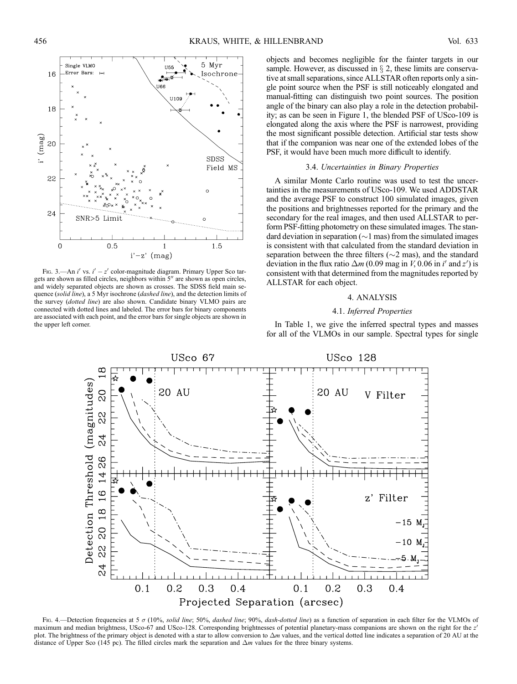

FIG. 3.—An  $i'$  vs.  $i' - z'$  color-magnitude diagram. Primary Upper Sco targets are shown as filled circles, neighbors within  $5<sup>′</sup>$  are shown as open circles, and widely separated objects are shown as crosses. The SDSS field main sequence (solid line), a 5 Myr isochrone (dashed line), and the detection limits of the survey (dotted line) are also shown. Candidate binary VLMO pairs are connected with dotted lines and labeled. The error bars for binary components are associated with each point, and the error bars for single objects are shown in the upper left corner.

objects and becomes negligible for the fainter targets in our sample. However, as discussed in  $\S$  2, these limits are conservative at small separations, since ALLSTAR often reports only a single point source when the PSF is still noticeably elongated and manual-fitting can distinguish two point sources. The position angle of the binary can also play a role in the detection probability; as can be seen in Figure 1, the blended PSF of USco-109 is elongated along the axis where the PSF is narrowest, providing the most significant possible detection. Artificial star tests show that if the companion was near one of the extended lobes of the PSF, it would have been much more difficult to identify.

### 3.4. Uncertainties in Binary Properties

A similar Monte Carlo routine was used to test the uncertainties in the measurements of USco-109. We used ADDSTAR and the average PSF to construct 100 simulated images, given the positions and brightnesses reported for the primary and the secondary for the real images, and then used ALLSTAR to perform PSF-fitting photometry on these simulated images. The standard deviation in separation ( $\sim$ 1 mas) from the simulated images is consistent with that calculated from the standard deviation in separation between the three filters ( $\sim$ 2 mas), and the standard deviation in the flux ratio  $\Delta m$  (0.09 mag in V, 0.06 in i' and z') is consistent with that determined from the magnitudes reported by ALLSTAR for each object.

### 4. ANALYSIS

### 4.1. Inferred Properties

In Table 1, we give the inferred spectral types and masses for all of the VLMOs in our sample. Spectral types for single



Fig. 4.—Detection frequencies at 5  $\sigma$  (10%, solid line; 50%, dashed line; 90%, dash-dotted line) as a function of separation in each filter for the VLMOs of maximum and median brightness, USco-67 and USco-128. Corresponding brightnesses of potential planetary-mass companions are shown on the right for the z' plot. The brightness of the primary object is denoted with a star to allow conversion to  $\Delta m$  values, and the vertical dotted line indicates a separation of 20 AU at the distance of Upper Sco (145 pc). The filled circles mark the separation and  $\Delta m$  values for the three binary systems.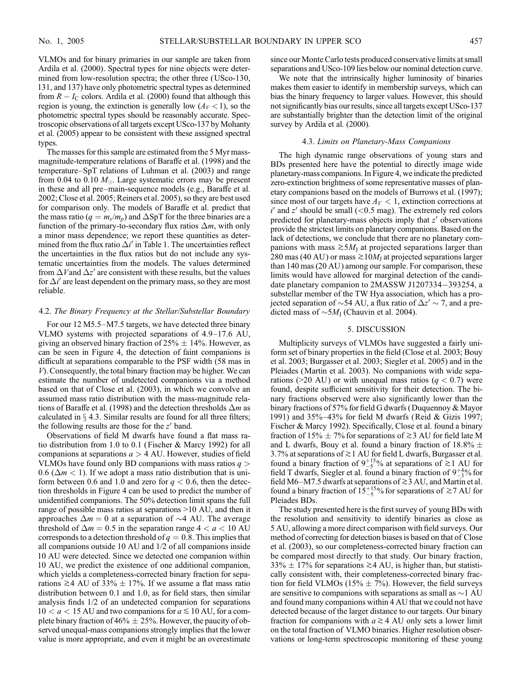VLMOs and for binary primaries in our sample are taken from Ardila et al. (2000). Spectral types for nine objects were determined from low-resolution spectra; the other three (USco-130, 131, and 137) have only photometric spectral types as determined from  $R - I_C$  colors. Ardila et al. (2000) found that although this region is young, the extinction is generally low  $(A_V < 1)$ , so the photometric spectral types should be reasonably accurate. Spectroscopic observations of all targets except USco-137 by Mohanty et al. (2005) appear to be consistent with these assigned spectral types.

The masses for this sample are estimated from the 5 Myr massmagnitude-temperature relations of Baraffe et al. (1998) and the temperature–SpT relations of Luhman et al. (2003) and range from 0.04 to 0.10  $M_{\odot}$ . Large systematic errors may be present in these and all pre–main-sequence models (e.g., Baraffe et al. 2002; Close et al. 2005; Reiners et al. 2005), so they are best used for comparison only. The models of Baraffe et al. predict that the mass ratio ( $q = m_s/m_p$ ) and  $\Delta SpT$  for the three binaries are a function of the primary-to-secondary flux ratios  $\Delta m$ , with only a minor mass dependence; we report these quantities as determined from the flux ratio  $\Delta i'$  in Table 1. The uncertainties reflect the uncertainties in the flux ratios but do not include any systematic uncertainties from the models. The values determined from  $\Delta V$  and  $\Delta z'$  are consistent with these results, but the values for  $\Delta i'$  are least dependent on the primary mass, so they are most reliable.

#### 4.2. The Binary Frequency at the Stellar/Substellar Boundary

For our 12 M5.5–M7.5 targets, we have detected three binary VLMO systems with projected separations of 4.9–17.6 AU, giving an observed binary fraction of  $25\% \pm 14\%$ . However, as can be seen in Figure 4, the detection of faint companions is difficult at separations comparable to the PSF width (58 mas in V). Consequently, the total binary fraction may be higher. We can estimate the number of undetected companions via a method based on that of Close et al. (2003), in which we convolve an assumed mass ratio distribution with the mass-magnitude relations of Baraffe et al. (1998) and the detection thresholds  $\Delta m$  as calculated in  $\S$  4.3. Similar results are found for all three filters; the following results are those for the  $z'$  band.

Observations of field M dwarfs have found a flat mass ratio distribution from 1.0 to 0.1 (Fischer & Marcy 1992) for all companions at separations  $a > 4$  AU. However, studies of field VLMOs have found only BD companions with mass ratios  $q >$ 0.6 ( $\Delta m$  < 1). If we adopt a mass ratio distribution that is uniform between 0.6 and 1.0 and zero for  $q < 0.6$ , then the detection thresholds in Figure 4 can be used to predict the number of unidentified companions. The 50% detection limit spans the full range of possible mass ratios at separations >10 AU, and then it approaches  $\Delta m = 0$  at a separation of  $\sim$ 4 AU. The average threshold of  $\Delta m = 0.5$  in the separation range  $4 < a < 10$  AU corresponds to a detection threshold of  $q = 0.8$ . This implies that all companions outside 10 AU and 1/2 of all companions inside 10 AU were detected. Since we detected one companion within 10 AU, we predict the existence of one additional companion, which yields a completeness-corrected binary fraction for separations  $\geq 4$  AU of 33%  $\pm$  17%. If we assume a flat mass ratio distribution between 0.1 and 1.0, as for field stars, then similar analysis finds 1/2 of an undetected companion for separations  $10 < a < 15$  AU and two companions for  $a \le 10$  AU, for a complete binary fraction of 46%  $\pm$  25%. However, the paucity of observed unequal-mass companions strongly implies that the lower value is more appropriate, and even it might be an overestimate since our Monte Carlo tests produced conservative limits at small separations and USco-109 lies below our nominal detection curve.

We note that the intrinsically higher luminosity of binaries makes them easier to identify in membership surveys, which can bias the binary frequency to larger values. However, this should not significantly bias our results, since all targets except USco-137 are substantially brighter than the detection limit of the original survey by Ardila et al. (2000).

### 4.3. Limits on Planetary-Mass Companions

The high dynamic range observations of young stars and BDs presented here have the potential to directly image wide planetary-mass companions. In Figure 4, we indicate the predicted zero-extinction brightness of some representative masses of planetary companions based on the models of Burrows et al. (1997); since most of our targets have  $A_V < 1$ , extinction corrections at  $i'$  and  $z'$  should be small (<0.5 mag). The extremely red colors predicted for planetary-mass objects imply that  $z'$  observations provide the strictest limits on planetary companions. Based on the lack of detections, we conclude that there are no planetary companions with mass  $\gtrsim 5M_J$  at projected separations larger than 280 mas (40 AU) or mass  $\gtrsim 10M_J$  at projected separations larger than 140 mas (20 AU) among our sample. For comparison, these limits would have allowed for marginal detection of the candidate planetary companion to 2MASSW J1207334-393254, a substellar member of the TW Hya association, which has a projected separation of  $\sim$  54 AU, a flux ratio of  $\Delta z' \sim$  7, and a predicted mass of  $\sim 5M<sub>I</sub>$  (Chauvin et al. 2004).

## 5. DISCUSSION

Multiplicity surveys of VLMOs have suggested a fairly uniform set of binary properties in the field (Close et al. 2003; Bouy et al. 2003; Burgasser et al. 2003; Siegler et al. 2005) and in the Pleiades (Martin et al. 2003). No companions with wide separations (>20 AU) or with unequal mass ratios ( $q < 0.7$ ) were found, despite sufficient sensitivity for their detection. The binary fractions observed were also significantly lower than the binary fractions of 57% for field G dwarfs (Duquennoy & Mayor 1991) and 35%–43% for field M dwarfs (Reid & Gizis 1997; Fischer & Marcy 1992). Specifically, Close et al. found a binary fraction of 15%  $\pm$  7% for separations of  $\gtrsim$  3 AU for field late M and L dwarfs, Bouy et al. found a binary fraction of  $18.8\% \pm$ 3.7% at separations of  $\gtrsim$  1 AU for field L dwarfs, Burgasser et al. found a binary fraction of  $9^{+15}_{-5}$ % at separations of  $\ge 1$  AU for field T dwarfs, Siegler et al. found a binary fraction of  $9^{+4}_{-3}$ % for field M6–M7.5 dwarfs at separations of  $\gtrsim$  3 AU, and Martin et al. found a binary fraction of  $15^{+15}_{-5}\%$  for separations of  $\approx$  7 AU for Pleiades BDs.

The study presented here is the first survey of young BDs with the resolution and sensitivity to identify binaries as close as 5 AU, allowing a more direct comparison with field surveys. Our method of correcting for detection biases is based on that of Close et al. (2003), so our completeness-corrected binary fraction can be compared most directly to that study. Our binary fraction, 33%  $\pm$  17% for separations  $\geq$  4 AU, is higher than, but statistically consistent with, their completeness-corrected binary fraction for field VLMOs (15%  $\pm$  7%). However, the field surveys are sensitive to companions with separations as small as  $\sim$ 1 AU and found many companions within 4 AU that we could not have detected because of the larger distance to our targets. Our binary fraction for companions with  $a \geq 4$  AU only sets a lower limit on the total fraction of VLMO binaries. Higher resolution observations or long-term spectroscopic monitoring of these young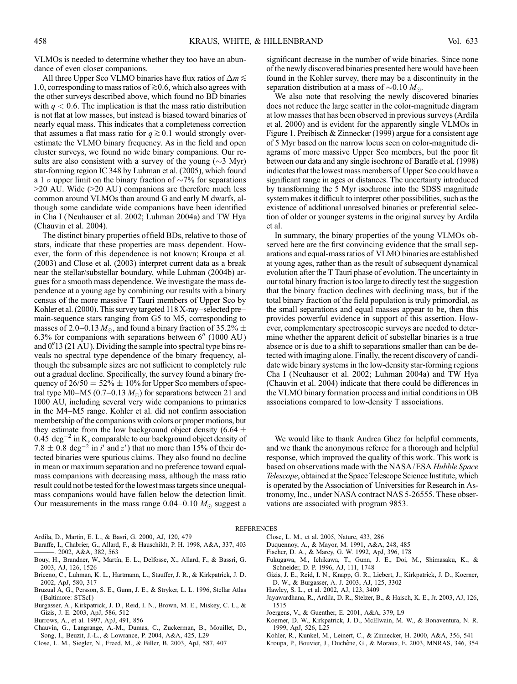VLMOs is needed to determine whether they too have an abundance of even closer companions.

All three Upper Sco VLMO binaries have flux ratios of  $\Delta m \lesssim$ 1.0, corresponding to mass ratios of  $\geq 0.6$ , which also agrees with the other surveys described above, which found no BD binaries with  $q < 0.6$ . The implication is that the mass ratio distribution is not flat at low masses, but instead is biased toward binaries of nearly equal mass. This indicates that a completeness correction that assumes a flat mass ratio for  $q \ge 0.1$  would strongly overestimate the VLMO binary frequency. As in the field and open cluster surveys, we found no wide binary companions. Our results are also consistent with a survey of the young  $(\sim 3 \text{ Myr})$ star-forming region IC 348 by Luhman et al. (2005), which found a 1  $\sigma$  upper limit on the binary fraction of  $\sim$ 7% for separations  $>$ 20 AU. Wide ( $>$ 20 AU) companions are therefore much less common around VLMOs than around G and early M dwarfs, although some candidate wide companions have been identified in Cha I (Neuhauser et al. 2002; Luhman 2004a) and TW Hya (Chauvin et al. 2004).

The distinct binary properties of field BDs, relative to those of stars, indicate that these properties are mass dependent. However, the form of this dependence is not known; Kroupa et al. (2003) and Close et al. (2003) interpret current data as a break near the stellar/substellar boundary, while Luhman (2004b) argues for a smooth mass dependence. We investigate the mass dependence at a young age by combining our results with a binary census of the more massive T Tauri members of Upper Sco by Kohler et al. (2000). This survey targeted 118 X-ray–selected pre– main-sequence stars ranging from G5 to M5, corresponding to masses of 2.0–0.13  $M_{\odot}$ , and found a binary fraction of 35.2%  $\pm$  $6.3\%$  for companions with separations between  $6''$  (1000 AU) and  $0''13$  (21 AU). Dividing the sample into spectral type bins reveals no spectral type dependence of the binary frequency, although the subsample sizes are not sufficient to completely rule out a gradual decline. Specifically, the survey found a binary frequency of  $26/50 = 52\% \pm 10\%$  for Upper Sco members of spectral type M0–M5 (0.7–0.13  $M_{\odot}$ ) for separations between 21 and 1000 AU, including several very wide companions to primaries in the M4–M5 range. Kohler et al. did not confirm association membership of the companions with colors or proper motions, but they estimate from the low background object density (6.64  $\pm$ 0.45  $\text{deg}^{-2}$  in K, comparable to our background object density of 7.8  $\pm$  0.8 deg<sup>-2</sup> in *i'* and *z'*) that no more than 15% of their detected binaries were spurious claims. They also found no decline in mean or maximum separation and no preference toward equalmass companions with decreasing mass, although the mass ratio result could not be tested for the lowest mass targets since unequalmass companions would have fallen below the detection limit. Our measurements in the mass range 0.04–0.10  $M_{\odot}$  suggest a

- Ardila, D., Martin, E. L., & Basri, G. 2000, AJ, 120, 479
- Baraffe, I., Chabrier, G., Allard, F., & Hauschildt, P. H. 1998, A&A, 337, 403 ———. 2002, A&A, 382, 563
- Bouy, H., Brandner, W., Martín, E. L., Delfosse, X., Allard, F., & Bassri, G. 2003, AJ, 126, 1526
- Briceno, C., Luhman, K. L., Hartmann, L., Stauffer, J. R., & Kirkpatrick, J. D. 2002, ApJ, 580, 317
- Bruzual A, G., Persson, S. E., Gunn, J. E., & Stryker, L. L. 1996, Stellar Atlas (Baltimore: STScI )
- Burgasser, A., Kirkpatrick, J. D., Reid, I. N., Brown, M. E., Miskey, C. L., & Gizis, J. E. 2003, ApJ, 586, 512
- Burrows, A., et al. 1997, ApJ, 491, 856
- Chauvin, G., Langrange, A.-M., Dumas, C., Zuckerman, B., Mouillet, D., Song, I., Beuzit, J.-L., & Lowrance, P. 2004, A&A, 425, L29
- Close, L. M., Siegler, N., Freed, M., & Biller, B. 2003, ApJ, 587, 407

significant decrease in the number of wide binaries. Since none of the newly discovered binaries presented here would have been found in the Kohler survey, there may be a discontinuity in the separation distribution at a mass of  $\sim 0.10 M_{\odot}$ .

We also note that resolving the newly discovered binaries does not reduce the large scatter in the color-magnitude diagram at low masses that has been observed in previous surveys (Ardila et al. 2000) and is evident for the apparently single VLMOs in Figure 1. Preibisch & Zinnecker (1999) argue for a consistent age of 5 Myr based on the narrow locus seen on color-magnitude diagrams of more massive Upper Sco members, but the poor fit between our data and any single isochrone of Baraffe et al. (1998) indicates that the lowest mass members of Upper Sco could have a significant range in ages or distances. The uncertainty introduced by transforming the 5 Myr isochrone into the SDSS magnitude system makes it difficult to interpret other possibilities, such as the existence of additional unresolved binaries or preferential selection of older or younger systems in the original survey by Ardila et al.

In summary, the binary properties of the young VLMOs observed here are the first convincing evidence that the small separations and equal-mass ratios of VLMO binaries are established at young ages, rather than as the result of subsequent dynamical evolution after the T Tauri phase of evolution. The uncertainty in our total binary fraction is too large to directly test the suggestion that the binary fraction declines with declining mass, but if the total binary fraction of the field population is truly primordial, as the small separations and equal masses appear to be, then this provides powerful evidence in support of this assertion. However, complementary spectroscopic surveys are needed to determine whether the apparent deficit of substellar binaries is a true absence or is due to a shift to separations smaller than can be detected with imaging alone. Finally, the recent discovery of candidate wide binary systems in the low-density star-forming regions Cha I (Neuhauser et al. 2002; Luhman 2004a) and TW Hya (Chauvin et al. 2004) indicate that there could be differences in the VLMO binary formation process and initial conditions in OB associations compared to low-density T associations.

We would like to thank Andrea Ghez for helpful comments, and we thank the anonymous referee for a thorough and helpful response, which improved the quality of this work. This work is based on observations made with the NASA/ESA Hubble Space Telescope, obtained at the Space Telescope Science Institute, which is operated by the Association of Universities for Research in Astronomy, Inc., under NASA contract NAS 5-26555. These observations are associated with program 9853.

#### **REFERENCES**

- Close, L. M., et al. 2005, Nature, 433, 286
- Duquennoy, A., & Mayor, M. 1991, A&A, 248, 485
- Fischer, D. A., & Marcy, G. W. 1992, ApJ, 396, 178
- Fukugawa, M., Ichikawa, T., Gunn, J. E., Doi, M., Shimasaku, K., & Schneider, D. P. 1996, AJ, 111, 1748
- Gizis, J. E., Reid, I. N., Knapp, G. R., Liebert, J., Kirkpatrick, J. D., Koerner, D. W., & Burgasser, A. J. 2003, AJ, 125, 3302
- Hawley, S. L., et al. 2002, AJ, 123, 3409
- Jayawardhana, R., Ardila, D. R., Stelzer, B., & Haisch, K. E., Jr. 2003, AJ, 126, 1515
- Joergens, V., & Guenther, E. 2001, A&A, 379, L9
- Koerner, D. W., Kirkpatrick, J. D., McElwain, M. W., & Bonaventura, N. R. 1999, ApJ, 526, L25
- Kohler, R., Kunkel, M., Leinert, C., & Zinnecker, H. 2000, A&A, 356, 541
- Kroupa, P., Bouvier, J., Duchêne, G., & Moraux, E. 2003, MNRAS, 346, 354